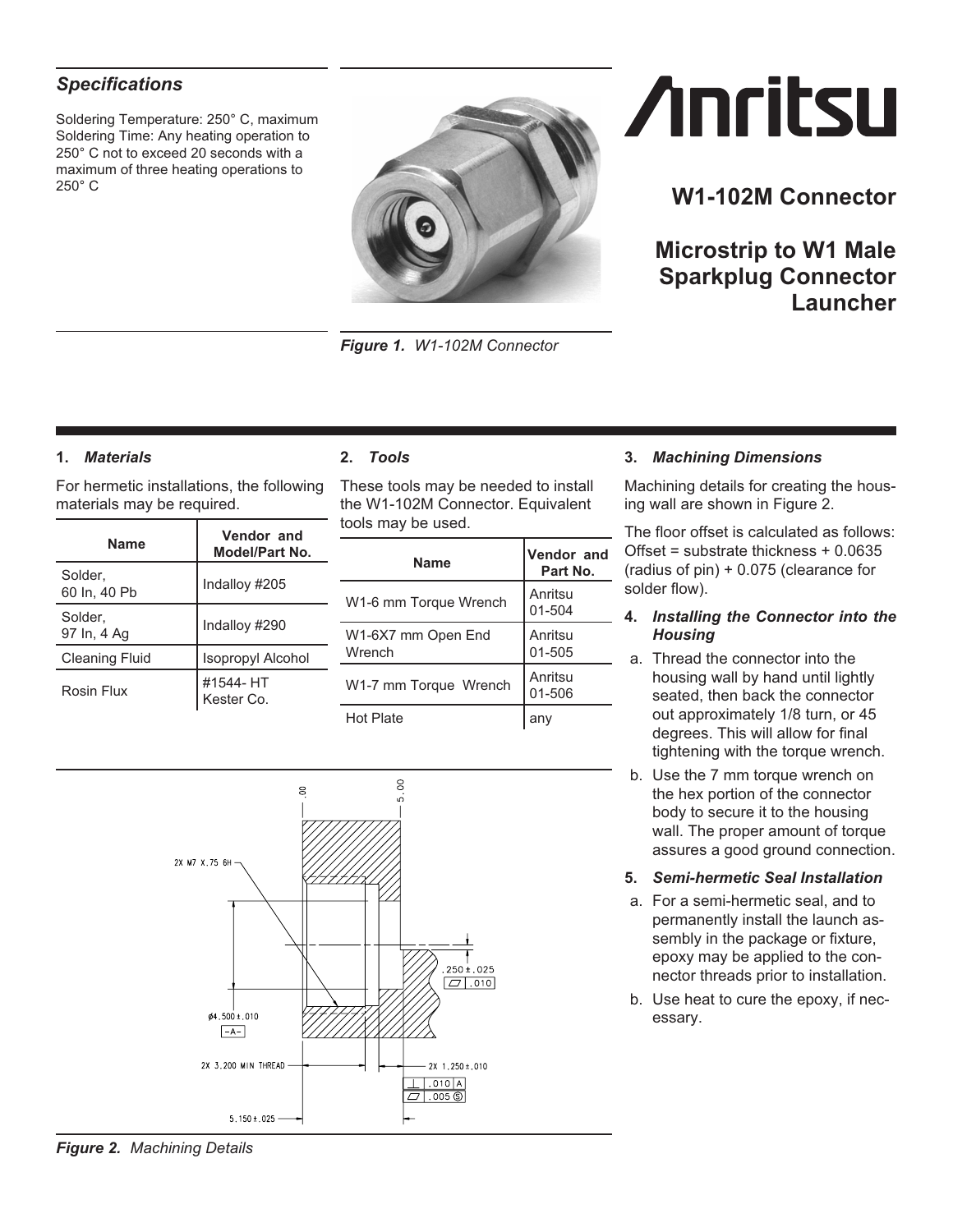### <span id="page-0-0"></span>*Specifications*

Soldering Temperature: 250° C, maximum Soldering Time: Any heating operation to 250° C not to exceed 20 seconds with a maximum of three heating operations to 250° C



*Figure 1. W1-102M Connector*

# **Anritsu**

## **W1-102M Connector**

**Microstrip to W1 Male Sparkplug Connector Launcher**

#### **1.** *Materials*

For hermetic installations, the following materials may be required.

| <b>Name</b>             | Vendor and<br>Model/Part No. |
|-------------------------|------------------------------|
| Solder.<br>60 ln, 40 Pb | Indalloy #205                |
| Solder.<br>97 In, 4 Ag  | Indalloy #290                |
| <b>Cleaning Fluid</b>   | <b>Isopropyl Alcohol</b>     |
| Rosin Flux              | #1544- HT<br>Kester Co.      |

#### **2.** *Tools*

These tools may be needed to install the W1-102M Connector. Equivalent tools may be used.

| Name                         | <b>Vendor and</b><br>Part No. |
|------------------------------|-------------------------------|
| W1-6 mm Torque Wrench        | Anritsu<br>01-504             |
| W1-6X7 mm Open End<br>Wrench | Anritsu<br>01-505             |
| W1-7 mm Torque Wrench        | Anritsu<br>01-506             |
| Hot Plate                    |                               |



Machining details for creating the housing wall are shown in Figure [2.](#page-0-0)

The floor offset is calculated as follows: Offset = substrate thickness + 0.0635 (radius of pin) + 0.075 (clearance for solder flow).

#### **4.** *Installing the Connector into the Housing*

- a. Thread the connector into the housing wall by hand until lightly seated, then back the connector out approximately 1/8 turn, or 45 degrees. This will allow for final tightening with the torque wrench.
- b. Use the 7 mm torque wrench on the hex portion of the connector body to secure it to the housing wall. The proper amount of torque assures a good ground connection.
- **5.** *Semi-hermetic Seal Installation*
- a. For a semi-hermetic seal, and to permanently install the launch assembly in the package or fixture, epoxy may be applied to the connector threads prior to installation.
- b. Use heat to cure the epoxy, if necessary.



*Figure 2. Machining Details*